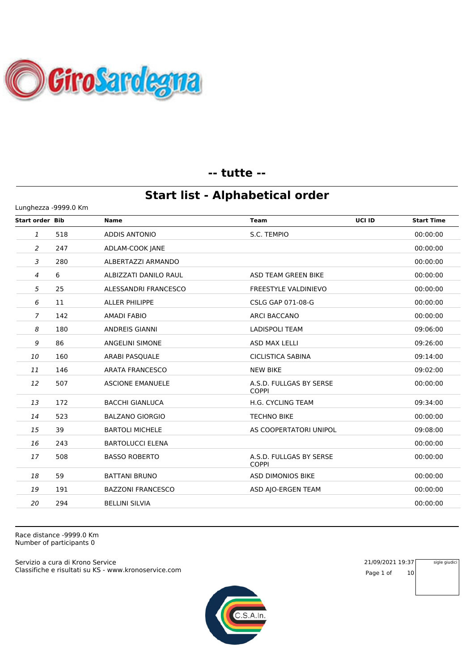

#### **-- tutte --**

### **Start list - Alphabetical order**

| Lunghezza -9999.0 Km   |     |                          |                                         |                             |  |  |
|------------------------|-----|--------------------------|-----------------------------------------|-----------------------------|--|--|
| <b>Start order Bib</b> |     | <b>Name</b>              | Team                                    | UCI ID<br><b>Start Time</b> |  |  |
| $\mathbf{1}$           | 518 | <b>ADDIS ANTONIO</b>     | S.C. TEMPIO                             | 00:00:00                    |  |  |
| 2                      | 247 | ADLAM-COOK JANE          |                                         | 00:00:00                    |  |  |
| 3                      | 280 | ALBERTAZZI ARMANDO       |                                         | 00:00:00                    |  |  |
| $\overline{4}$         | 6   | ALBIZZATI DANILO RAUL    | ASD TEAM GREEN BIKE                     | 00:00:00                    |  |  |
| 5                      | 25  | ALESSANDRI FRANCESCO     | <b>FREESTYLE VALDINIEVO</b>             | 00:00:00                    |  |  |
| 6                      | 11  | <b>ALLER PHILIPPE</b>    | CSLG GAP 071-08-G                       | 00:00:00                    |  |  |
| 7                      | 142 | <b>AMADI FABIO</b>       | <b>ARCI BACCANO</b>                     | 00:00:00                    |  |  |
| 8                      | 180 | <b>ANDREIS GIANNI</b>    | <b>LADISPOLI TEAM</b>                   | 09:06:00                    |  |  |
| 9                      | 86  | <b>ANGELINI SIMONE</b>   | <b>ASD MAX LELLI</b>                    | 09:26:00                    |  |  |
| 10                     | 160 | ARABI PASQUALE           | <b>CICLISTICA SABINA</b>                | 09:14:00                    |  |  |
| 11                     | 146 | <b>ARATA FRANCESCO</b>   | <b>NEW BIKE</b>                         | 09:02:00                    |  |  |
| 12                     | 507 | <b>ASCIONE EMANUELE</b>  | A.S.D. FULLGAS BY SERSE<br><b>COPPI</b> | 00:00:00                    |  |  |
| 13                     | 172 | <b>BACCHI GIANLUCA</b>   | H.G. CYCLING TEAM                       | 09:34:00                    |  |  |
| 14                     | 523 | <b>BALZANO GIORGIO</b>   | <b>TECHNO BIKE</b>                      | 00:00:00                    |  |  |
| 15                     | 39  | <b>BARTOLI MICHELE</b>   | AS COOPERTATORI UNIPOL                  | 09:08:00                    |  |  |
| 16                     | 243 | <b>BARTOLUCCI ELENA</b>  |                                         | 00:00:00                    |  |  |
| 17                     | 508 | <b>BASSO ROBERTO</b>     | A.S.D. FULLGAS BY SERSE<br><b>COPPI</b> | 00:00:00                    |  |  |
| 18                     | 59  | <b>BATTANI BRUNO</b>     | <b>ASD DIMONIOS BIKE</b>                | 00:00:00                    |  |  |
| 19                     | 191 | <b>BAZZONI FRANCESCO</b> | ASD AJO-ERGEN TEAM                      | 00:00:00                    |  |  |
| 20                     | 294 | <b>BELLINI SILVIA</b>    |                                         | 00:00:00                    |  |  |
|                        |     |                          |                                         |                             |  |  |

Race distance -9999.0 Km Number of participants 0

Classifiche e risultati su KS - www.kronoservice.com Servizio a cura di Krono Service 21/09/2021 19:37



Page 1 of 10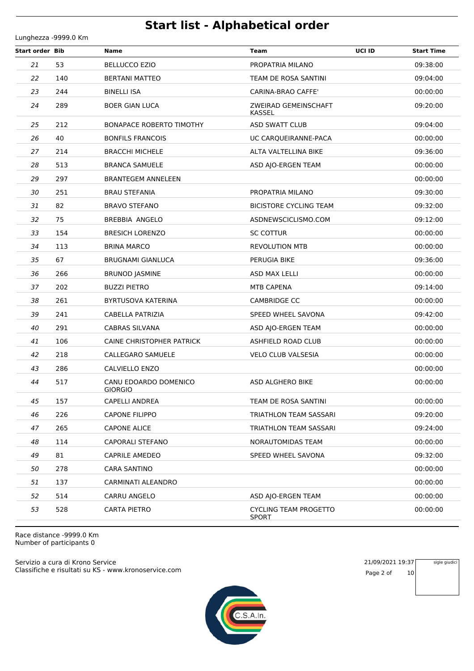Lunghezza -9999.0 Km

| <b>Start order Bib</b> |     | Name                                    | UCI ID<br><b>Team</b>                        | <b>Start Time</b> |
|------------------------|-----|-----------------------------------------|----------------------------------------------|-------------------|
| 21                     | 53  | <b>BELLUCCO EZIO</b>                    | PROPATRIA MILANO                             | 09:38:00          |
| 22                     | 140 | <b>BERTANI MATTEO</b>                   | TEAM DE ROSA SANTINI                         | 09:04:00          |
| 23                     | 244 | <b>BINELLI ISA</b>                      | CARINA-BRAO CAFFE'                           | 00:00:00          |
| 24                     | 289 | <b>BOER GIAN LUCA</b>                   | ZWEIRAD GEMEINSCHAFT<br><b>KASSEL</b>        | 09:20:00          |
| 25                     | 212 | <b>BONAPACE ROBERTO TIMOTHY</b>         | <b>ASD SWATT CLUB</b>                        | 09:04:00          |
| 26                     | 40  | <b>BONFILS FRANCOIS</b>                 | UC CARQUEIRANNE-PACA                         | 00:00:00          |
| 27                     | 214 | <b>BRACCHI MICHELE</b>                  | ALTA VALTELLINA BIKE                         | 09:36:00          |
| 28                     | 513 | <b>BRANCA SAMUELE</b>                   | ASD AJO-ERGEN TEAM                           | 00:00:00          |
| 29                     | 297 | <b>BRANTEGEM ANNELEEN</b>               |                                              | 00:00:00          |
| 30                     | 251 | <b>BRAU STEFANIA</b>                    | PROPATRIA MILANO                             | 09:30:00          |
| 31                     | 82  | <b>BRAVO STEFANO</b>                    | <b>BICISTORE CYCLING TEAM</b>                | 09:32:00          |
| 32                     | 75  | <b>BREBBIA ANGELO</b>                   | ASDNEWSCICLISMO.COM                          | 09:12:00          |
| 33                     | 154 | <b>BRESICH LORENZO</b>                  | <b>SC COTTUR</b>                             | 00:00:00          |
| 34                     | 113 | <b>BRINA MARCO</b>                      | <b>REVOLUTION MTB</b>                        | 00:00:00          |
| 35                     | 67  | <b>BRUGNAMI GIANLUCA</b>                | PERUGIA BIKE                                 | 09:36:00          |
| 36                     | 266 | <b>BRUNOD JASMINE</b>                   | ASD MAX LELLI                                | 00:00:00          |
| 37                     | 202 | <b>BUZZI PIETRO</b>                     | <b>MTB CAPENA</b>                            | 09:14:00          |
| 38                     | 261 | BYRTUSOVA KATERINA                      | <b>CAMBRIDGE CC</b>                          | 00:00:00          |
| 39                     | 241 | CABELLA PATRIZIA                        | SPEED WHEEL SAVONA                           | 09:42:00          |
| 40                     | 291 | CABRAS SILVANA                          | ASD AJO-ERGEN TEAM                           | 00:00:00          |
| 41                     | 106 | CAINE CHRISTOPHER PATRICK               | ASHFIELD ROAD CLUB                           | 00:00:00          |
| 42                     | 218 | CALLEGARO SAMUELE                       | <b>VELO CLUB VALSESIA</b>                    | 00:00:00          |
| 43                     | 286 | <b>CALVIELLO ENZO</b>                   |                                              | 00:00:00          |
| 44                     | 517 | CANU EDOARDO DOMENICO<br><b>GIORGIO</b> | ASD ALGHERO BIKE                             | 00:00:00          |
| 45                     | 157 | CAPELLI ANDREA                          | TEAM DE ROSA SANTINI                         | 00:00:00          |
| 46                     | 226 | <b>CAPONE FILIPPO</b>                   | TRIATHLON TEAM SASSARI                       | 09:20:00          |
| 47                     | 265 | <b>CAPONE ALICE</b>                     | TRIATHLON TEAM SASSARI                       | 09:24:00          |
| 48                     | 114 | <b>CAPORALI STEFANO</b>                 | NORAUTOMIDAS TEAM                            | 00:00:00          |
| 49                     | 81  | <b>CAPRILE AMEDEO</b>                   | SPEED WHEEL SAVONA                           | 09:32:00          |
| 50                     | 278 | <b>CARA SANTINO</b>                     |                                              | 00:00:00          |
| 51                     | 137 | CARMINATI ALEANDRO                      |                                              | 00:00:00          |
| 52                     | 514 | CARRU ANGELO                            | ASD AJO-ERGEN TEAM                           | 00:00:00          |
| 53                     | 528 | <b>CARTA PIETRO</b>                     | <b>CYCLING TEAM PROGETTO</b><br><b>SPORT</b> | 00:00:00          |

Race distance -9999.0 Km Number of participants 0

Classifiche e risultati su KS - www.kronoservice.com Servizio a cura di Krono Service 21/09/2021 19:37



Page 2 of 10

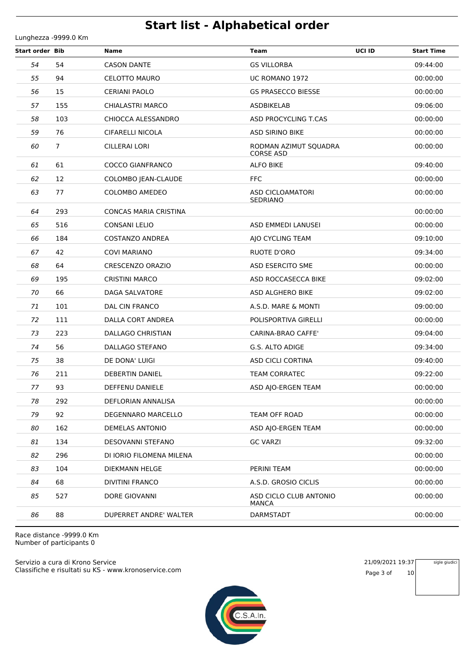**Start order Bib Name Team UCI ID Start Time** 54 CASON DANTE GS VILLORBA 09:44:00 94 CELOTTO MAURO UC ROMANO 1972 00:00:00 15 CERIANI PAOLO GS PRASECCO BIESSE 00:00:00 155 CHIALASTRI MARCO ASDBIKELAB 09:06:00 103 CHIOCCA ALESSANDRO ASD PROCYCLING T.CAS 00:00:00 76 CIFARELLI NICOLA ASD SIRINO BIKE 00:00:00 CILLERAI LORI RODMAN AZIMUT SQUADRA 00:00:00 CORSE ASD 61 COCCO GIANFRANCO ALFO BIKE 09:40:00 12 COLOMBO JEAN-CLAUDE FFC 00:00:00 COLOMBO AMEDEO ASD CICLOAMATORI 00:00:00 SEDRIANO 293 CONCAS MARIA CRISTINA 00:00:00 516 CONSANI LELIO ASD EMMEDI LANUSEI 00:00:00 184 COSTANZO ANDREA AJO CYCLING TEAM 09:10:00 42 COVI MARIANO RUOTE D'ORO 09:34:00 64 CRESCENZO ORAZIO ASD ESERCITO SME 00:00:00 195 CRISTINI MARCO ASD ROCCASECCA BIKE 09:02:00 66 DAGA SALVATORE ASD ALGHERO BIKE 09:02:00 101 DAL CIN FRANCO A.S.D. MARE & MONTI 09:00:00 111 DALLA CORT ANDREA POLISPORTIVA GIRELLI 00:00:00 223 DALLAGO CHRISTIAN CARINA-BRAO CAFFE' 09:04:00 56 DALLAGO STEFANO G.S. ALTO ADIGE 09:34:00 38 DE DONA' LUIGI ASD CICLI CORTINA 09:40:00 211 DEBERTIN DANIEL TEAM CORRATEC 09:22:00 **77 93** DEFFENU DANIELE **ASD AJO-ERGEN TEAM** 00:00:00 292 DEFLORIAN ANNALISA 00:00:00 92 DEGENNARO MARCELLO TEAM OFF ROAD 00:00:00 162 DEMELAS ANTONIO ASD AJO-ERGEN TEAM 00:00:00 134 DESOVANNI STEFANO GC VARZI 09:32:00 296 DI IORIO FILOMENA MILENA 00:00:00 104 DIEKMANN HELGE PERINI TEAM 00:00:00 68 DIVITINI FRANCO A.S.D. GROSIO CICLIS 00:00:00 DORE GIOVANNI ASD CICLO CLUB ANTONIO 00:00:00 MANCA 88 DUPERRET ANDRE' WALTER DARMSTADT 00:00:00

Race distance -9999.0 Km Number of participants 0

Lunghezza -9999.0 Km

Classifiche e risultati su KS - www.kronoservice.com Servizio a cura di Krono Service 21/09/2021 19:37



Page 3 of 10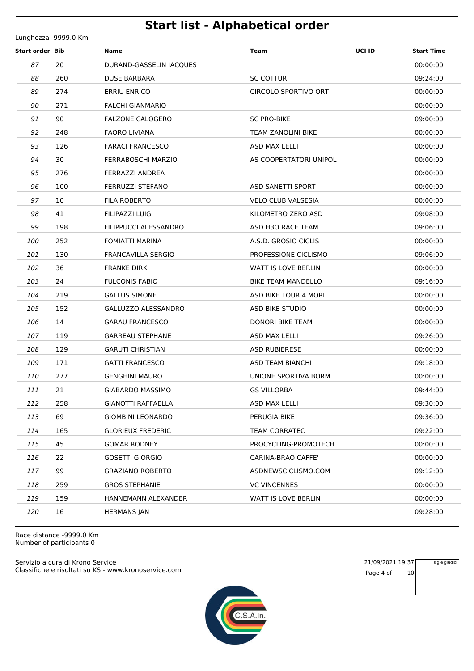**Start order Bib Name Team UCI ID Start Time** 20 DURAND-GASSELIN JACQUES 00:00:00 260 DUSE BARBARA SC COTTUR SC COTTUR 260 09:24:00 274 ERRIU ENRICO CIRCOLO SPORTIVO ORT 00:00:00 271 FALCHI GIANMARIO 00:00:00 90 FALZONE CALOGERO SC PRO-BIKE 09:00:00 248 FAORO LIVIANA TEAM ZANOLINI BIKE 00:00:00 Parameter of the state of the state of the state of the state of the state of the state of the state of the state of the state of the state of the state of the state of the state of the state of the state of the state of t 30 FERRABOSCHI MARZIO AS COOPERTATORI UNIPOL 00:00:00 276 FERRAZZI ANDREA 00:00:00 100 FERRUZZI STEFANO ASD SANETTI SPORT 00:00:00 10 FILA ROBERTO VELO CLUB VALSESIA 00:00:00 41 FILIPAZZI LUIGI KILOMETRO ZERO ASD 09:08:00 198 FILIPPUCCI ALESSANDRO ASD H3O RACE TEAM 09:06:00 252 FOMIATTI MARINA A.S.D. GROSIO CICLIS 00:00:00 130 FRANCAVILLA SERGIO PROFESSIONE CICLISMO 09:06:00 36 FRANKE DIRK WATT IS LOVE BERLIN 00:00:00 24 FULCONIS FABIO BIKE TEAM MANDELLO 09:16:00 219 GALLUS SIMONE ASD BIKE TOUR 4 MORI 00:00:00 105 152 GALLUZZO ALESSANDRO AND BIKE STUDIO ASD BIKE STUDIO 14 GARAU FRANCESCO DONORI BIKE TEAM 00:00:00 **107 119 GARREAU STEPHANE ASD MAX LELLI CONSERVERSION CONSERVATION CONSERVATION**  129 GARUTI CHRISTIAN ASD RUBIERESE 00:00:00 **109 171 GATTI FRANCESCO ASD TEAM BIANCHI 171 G9:18:00**  277 GENGHINI MAURO UNIONE SPORTIVA BORM 00:00:00 21 GIABARDO MASSIMO GS VILLORBA 09:44:00 258 GIANOTTI RAFFAELLA ASD MAX LELLI 09:30:00 69 GIOMBINI LEONARDO PERUGIA BIKE 09:36:00 165 GLORIEUX FREDERIC TEAM CORRATEC 09:22:00 45 GOMAR RODNEY PROCYCLING-PROMOTECH 00:00:00 22 GOSETTI GIORGIO CARINA-BRAO CAFFE' 00:00:00 99 GRAZIANO ROBERTO ASDNEWSCICLISMO.COM 09:12:00 259 GROS STÉPHANIE VC VINCENNES 00:00:00 159 HANNEMANN ALEXANDER WATT IS LOVE BERLIN 00:00:00 16 HERMANS JAN 09:28:00

Race distance -9999.0 Km Number of participants 0

Lunghezza -9999.0 Km

Classifiche e risultati su KS - www.kronoservice.com Servizio a cura di Krono Service 21/09/2021 19:37



Page 4 of 10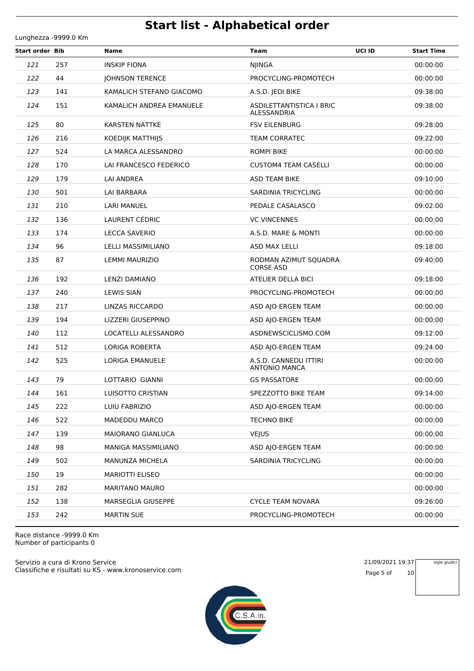**Start order Bib Name Team UCI ID Start Time** 257 INSKIP FIONA NJINGA 00:00:00 44 JOHNSON TERENCE PROCYCLING-PROMOTECH 00:00:00 141 KAMALICH STEFANO GIACOMO A.S.D. JEDI BIKE 09:38:00 KAMALICH ANDREA EMANUELE ASDILETTANTISTICA I BRIC 09:38:00 ALESSANDRIA **125 80 KARSTEN NATTKE FSV EILENBURG 69:28:00**  216 KOEDIJK MATTHIJS TEAM CORRATEC 09:22:00 524 LA MARCA ALESSANDRO ROMPI BIKE 00:00:00 128 170 LAI FRANCESCO FEDERICO CUSTOM4 TEAM CASELLI 00:00:00 00:00:00 179 LAI ANDREA ASD TEAM BIKE 09:10:00 501 LAI BARBARA SARDINIA TRICYCLING 501 00:00:00 210 LARI MANUEL PEDALE CASALASCO 09:02:00 136 LAURENT CÉDRIC VC VINCENNES 00:00:00 174 LECCA SAVERIO A.S.D. MARE & MONTI 00:00:00 96 LELLI MASSIMILIANO ASD MAX LELLI 09:18:00 LEMMI MAURIZIO RODMAN AZIMUT SQUADRA 09:40:00 CORSE ASD 192 LENZI DAMIANO ATELIER DELLA BICI 09:18:00 240 LEWIS SIAN PROCYCLING-PROMOTECH 00:00:00 217 LINZAS RICCARDO ASD AJO-ERGEN TEAM 00:00:00 194 LIZZERI GIUSEPPINO ASD AJO-ERGEN TEAM 00:00:00 112 LOCATELLI ALESSANDRO ASDNEWSCICLISMO.COM 09:12:00 512 LORIGA ROBERTA ASD AJO-ERGEN TEAM 09:24:00 LORIGA EMANUELE A.S.D. CANNEDU ITTIRI 00:00:00 ANTONIO MANCA 79 LOTTARIO GIANNI GS PASSATORE 00:00:00 161 LUISOTTO CRISTIAN SPEZZOTTO BIKE TEAM 09:14:00 222 LUIU FABRIZIO ASD AJO-ERGEN TEAM 00:00:00 522 MADEDDU MARCO TECHNO BIKE 00:00:00 139 MAIORANO GIANLUCA VEJUS 00:00:00 98 MANIGA MASSIMILIANO ASD AJO-ERGEN TEAM 00:00:00 502 MANUNZA MICHELA SARDINIA TRICYCLING 00:00:00 19 MARIOTTI ELISEO 00:00:00 282 MARITANO MAURO 00:00:00 138 MARSEGLIA GIUSEPPE CYCLE TEAM NOVARA 09:26:00 242 MARTIN SUE PROCYCLING-PROMOTECH 00:00:00

Race distance -9999.0 Km Number of participants 0

Lunghezza -9999.0 Km

Classifiche e risultati su KS - www.kronoservice.com Servizio a cura di Krono Service 21/09/2021 19:37



Page 5 of 10

sigle giudici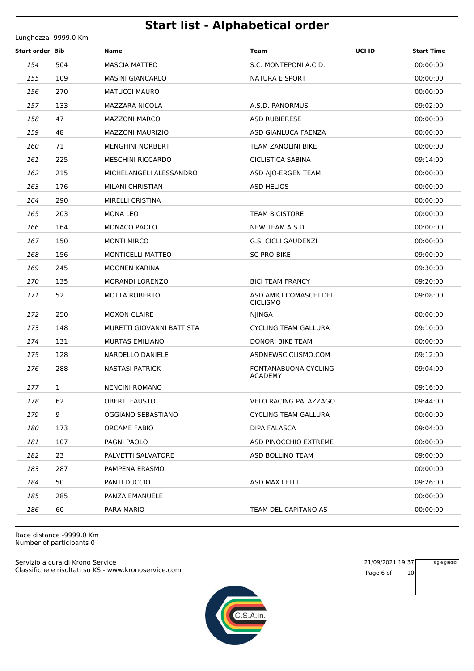**Start order Bib Name Team UCI ID Start Time** 504 MASCIA MATTEO S.C. MONTEPONI A.C.D. 00:00:00 109 MASINI GIANCARLO NATURA E SPORT 00:00:00 270 MATUCCI MAURO 00:00:00 133 MAZZARA NICOLA A.S.D. PANORMUS 09:02:00 47 MAZZONI MARCO ASD RUBIERESE 00:00:00 48 MAZZONI MAURIZIO ASD GIANLUCA FAENZA 00:00:00 71 MENGHINI NORBERT TEAM ZANOLINI BIKE 00:00:00 225 MESCHINI RICCARDO CICLISTICA SABINA 09:14:00 215 MICHELANGELI ALESSANDRO ASD AJO-ERGEN TEAM 00:00:00 176 MILANI CHRISTIAN ASD HELIOS 00:00:00 290 MIRELLI CRISTINA 00:00:00 203 MONA LEO TEAM BICISTORE 00:00:00 164 MONACO PAOLO NEW TEAM A.S.D. 00:00:00 150 MONTI MIRCO G.S. CICLI GAUDENZI 00:00:00 156 MONTICELLI MATTEO SC PRO-BIKE 09:00:00 245 MOONEN KARINA 09:30:00 135 MORANDI LORENZO BICI TEAM FRANCY 09:20:00 MOTTA ROBERTO ASD AMICI COMASCHI DEL 09:08:00 CICLISMO 250 MOXON CLAIRE NJINGA 00:00:00 148 MURETTI GIOVANNI BATTISTA CYCLING TEAM GALLURA 09:10:00 131 MURTAS EMILIANO DONORI BIKE TEAM 00:00:00 175 128 NARDELLO DANIELE ASDNEWSCICLISMO.COM 09:12:00 NASTASI PATRICK FONTANABUONA CYCLING 09:04:00 ACADEMY 1 NENCINI ROMANO 09:16:00 62 OBERTI FAUSTO VELO RACING PALAZZAGO 09:44:00 9 OGGIANO SEBASTIANO CYCLING TEAM GALLURA 00:00:00 173 ORCAME FABIO DIPA FALASCA 09:04:00 107 PAGNI PAOLO ASD PINOCCHIO EXTREME 00:00:00 23 PALVETTI SALVATORE ASD BOLLINO TEAM 09:00:00 287 PAMPENA ERASMO 00:00:00 50 PANTI DUCCIO ASD MAX LELLI 09:26:00 285 PANZA EMANUELE 00:00:00 60 PARA MARIO TEAM DEL CAPITANO AS 00:00:00

Race distance -9999.0 Km Number of participants 0

Lunghezza -9999.0 Km

Classifiche e risultati su KS - www.kronoservice.com Servizio a cura di Krono Service 21/09/2021 19:37



Page 6 of 10

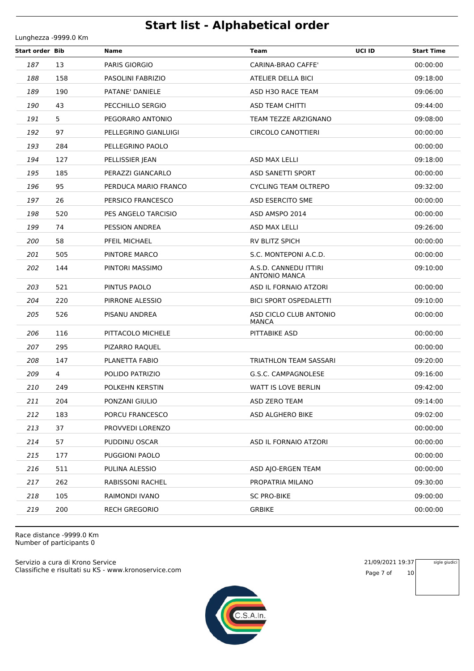**Start order Bib Name Team UCI ID Start Time** 13 PARIS GIORGIO CARINA-BRAO CAFFE' 00:00:00 158 PASOLINI FABRIZIO ATELIER DELLA BICI 09:18:00 **189 190 PATANE' DANIELE ASD H3O RACE TEAM 09:06:00 190 43** PECCHILLO SERGIO **ASD TEAM CHITTI 190 14:00 19:44:00**  5 PEGORARO ANTONIO TEAM TEZZE ARZIGNANO 09:08:00 97 PELLEGRINO GIANLUIGI CIRCOLO CANOTTIERI 00:00:00 284 PELLEGRINO PAOLO 00:00:00 127 PELLISSIER JEAN ASD MAX LELLI 09:18:00 185 PERAZZI GIANCARLO ASD SANETTI SPORT 00:00:00 95 PERDUCA MARIO FRANCO CYCLING TEAM OLTREPO 09:32:00 26 PERSICO FRANCESCO ASD ESERCITO SME 00:00:00 520 PES ANGELO TARCISIO ASD AMSPO 2014 00:00:00 **199 74** PESSION ANDREA **ASD MAX LELLI** 200126:00 58 PFEIL MICHAEL RV BLITZ SPICH 00:00:00 505 PINTORE MARCO S.C. MONTEPONI A.C.D. 00:00:00 PINTORI MASSIMO A.S.D. CANNEDU ITTIRI 09:10:00 ANTONIO MANCA 521 PINTUS PAOLO ASD IL FORNAIO ATZORI 00:00:00 220 PIRRONE ALESSIO BICI SPORT OSPEDALETTI 09:10:00 PISANU ANDREA ASD CICLO CLUB ANTONIO 00:00:00 MANCA 116 PITTACOLO MICHELE PITTABIKE ASD 00:00:00 295 PIZARRO RAQUEL 00:00:00 147 PLANETTA FABIO TRIATHLON TEAM SASSARI 09:20:00 4 POLIDO PATRIZIO G.S.C. CAMPAGNOLESE 09:16:00 249 POLKEHN KERSTIN WATT IS LOVE BERLIN 09:42:00 204 PONZANI GIULIO ASD ZERO TEAM 09:14:00 212 183 PORCU FRANCESCO ASD ALGHERO BIKE 183 09:02:00 37 PROVVEDI LORENZO 00:00:00 57 PUDDINU OSCAR ASD IL FORNAIO ATZORI 00:00:00 177 PUGGIONI PAOLO 00:00:00 511 PULINA ALESSIO ASD AJO-ERGEN TEAM 00:00:00 262 RABISSONI RACHEL PROPATRIA MILANO 09:30:00 105 RAIMONDI IVANO SC PRO-BIKE 09:00:00 200 RECH GREGORIO GRBIKE 00:00:00

Race distance -9999.0 Km Number of participants 0

Lunghezza -9999.0 Km

Classifiche e risultati su KS - www.kronoservice.com Servizio a cura di Krono Service 21/09/2021 19:37



Page 7 of 10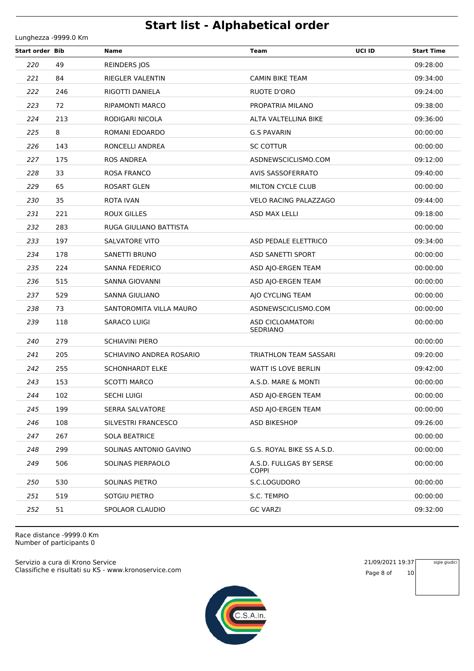Lunghezza -9999.0 Km

| <b>Start order Bib</b> |     | Name                     | UCI ID<br><b>Team</b>                   | <b>Start Time</b> |
|------------------------|-----|--------------------------|-----------------------------------------|-------------------|
| 220                    | 49  | REINDERS JOS             |                                         | 09:28:00          |
| 221                    | 84  | RIEGLER VALENTIN         | <b>CAMIN BIKE TEAM</b>                  | 09:34:00          |
| 222                    | 246 | RIGOTTI DANIELA          | RUOTE D'ORO                             | 09:24:00          |
| 223                    | 72  | RIPAMONTI MARCO          | PROPATRIA MILANO                        | 09:38:00          |
| 224                    | 213 | RODIGARI NICOLA          | ALTA VALTELLINA BIKE                    | 09:36:00          |
| 225                    | 8   | ROMANI EDOARDO           | <b>G.S PAVARIN</b>                      | 00:00:00          |
| 226                    | 143 | RONCELLI ANDREA          | <b>SC COTTUR</b>                        | 00:00:00          |
| 227                    | 175 | <b>ROS ANDREA</b>        | ASDNEWSCICLISMO.COM                     | 09:12:00          |
| 228                    | 33  | ROSA FRANCO              | <b>AVIS SASSOFERRATO</b>                | 09:40:00          |
| 229                    | 65  | ROSART GLEN              | <b>MILTON CYCLE CLUB</b>                | 00:00:00          |
| 230                    | 35  | <b>ROTA IVAN</b>         | <b>VELO RACING PALAZZAGO</b>            | 09:44:00          |
| 231                    | 221 | <b>ROUX GILLES</b>       | ASD MAX LELLI                           | 09:18:00          |
| 232                    | 283 | RUGA GIULIANO BATTISTA   |                                         | 00:00:00          |
| 233                    | 197 | SALVATORE VITO           | ASD PEDALE ELETTRICO                    | 09:34:00          |
| 234                    | 178 | SANETTI BRUNO            | ASD SANETTI SPORT                       | 00:00:00          |
| 235                    | 224 | <b>SANNA FEDERICO</b>    | ASD AJO-ERGEN TEAM                      | 00:00:00          |
| 236                    | 515 | SANNA GIOVANNI           | ASD AJO-ERGEN TEAM                      | 00:00:00          |
| 237                    | 529 | SANNA GIULIANO           | AJO CYCLING TEAM                        | 00:00:00          |
| 238                    | 73  | SANTOROMITA VILLA MAURO  | ASDNEWSCICLISMO.COM                     | 00:00:00          |
| 239                    | 118 | SARACO LUIGI             | ASD CICLOAMATORI<br>SEDRIANO            | 00:00:00          |
| 240                    | 279 | SCHIAVINI PIERO          |                                         | 00:00:00          |
| 241                    | 205 | SCHIAVINO ANDREA ROSARIO | TRIATHLON TEAM SASSARI                  | 09:20:00          |
| 242                    | 255 | <b>SCHONHARDT ELKE</b>   | WATT IS LOVE BERLIN                     | 09:42:00          |
| 243                    | 153 | <b>SCOTTI MARCO</b>      | A.S.D. MARE & MONTI                     | 00:00:00          |
| 244                    | 102 | <b>SECHI LUIGI</b>       | ASD AJO-ERGEN TEAM                      | 00:00:00          |
| 245                    | 199 | <b>SERRA SALVATORE</b>   | ASD AJO-ERGEN TEAM                      | 00:00:00          |
| 246                    | 108 | SILVESTRI FRANCESCO      | <b>ASD BIKESHOP</b>                     | 09:26:00          |
| 247                    | 267 | <b>SOLA BEATRICE</b>     |                                         | 00:00:00          |
| 248                    | 299 | SOLINAS ANTONIO GAVINO   | G.S. ROYAL BIKE SS A.S.D.               | 00:00:00          |
| 249                    | 506 | SOLINAS PIERPAOLO        | A.S.D. FULLGAS BY SERSE<br><b>COPPI</b> | 00:00:00          |
| 250                    | 530 | SOLINAS PIETRO           | S.C.LOGUDORO                            | 00:00:00          |
| 251                    | 519 | SOTGIU PIETRO            | S.C. TEMPIO                             | 00:00:00          |
| 252                    | 51  | SPOLAOR CLAUDIO          | <b>GC VARZI</b>                         | 09:32:00          |

Race distance -9999.0 Km Number of participants 0

Classifiche e risultati su KS - www.kronoservice.com Servizio a cura di Krono Service 21/09/2021 19:37



Page 8 of 10

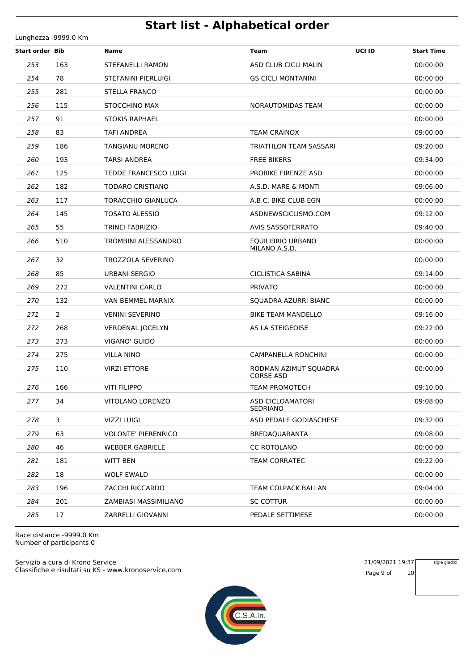**Start order Bib Name Team UCI ID Start Time** 163 STEFANELLI RAMON ASD CLUB CICLI MALIN 00:00:00 78 STEFANINI PIERLUIGI GS CICLI MONTANINI 00:00:00 281 STELLA FRANCO 00:00:00 115 STOCCHINO MAX NORAUTOMIDAS TEAM 00:00:00 91 STOKIS RAPHAEL 00:00:00 83 TAFI ANDREA TEAM CRAINOX 09:00:00 186 TANGIANU MORENO TRIATHLON TEAM SASSARI 09:20:00 193 TARSI ANDREA FREE BIKERS 09:34:00 125 TEDDE FRANCESCO LUIGI PROBIKE FIRENZE ASD 00:00:00 182 TODARO CRISTIANO A.S.D. MARE & MONTI 09:06:00 117 TORACCHIO GIANLUCA A.B.C. BIKE CLUB EGN 00:00:00 145 TOSATO ALESSIO ASDNEWSCICLISMO.COM 09:12:00 55 TRINEI FABRIZIO AVIS SASSOFERRATO 09:40:00 TROMBINI ALESSANDRO EQUILIBRIO URBANO 00:00:00 MILANO A.S.D. 32 TROZZOLA SEVERINO 00:00:00 85 URBANI SERGIO CICLISTICA SABINA 09:14:00 272 VALENTINI CARLO PRIVATO 00:00:00 132 VAN BEMMEL MARNIX SQUADRA AZURRI BIANC 00:00:00 2 VENINI SEVERINO BIKE TEAM MANDELLO 09:16:00 268 VERDENAL JOCELYN AS LA STEIGEOISE 09:22:00 273 VIGANO' GUIDO 00:00:00 275 VILLA NINO CAMPANELLA RONCHINI 00:00:00 VIRZI ETTORE RODMAN AZIMUT SQUADRA 00:00:00 CORSE ASD 166 VITI FILIPPO TEAM PROMOTECH 09:10:00 VITOLANO LORENZO ASD CICLOAMATORI 09:08:00 SEDRIANO 3 VIZZI LUIGI ASD PEDALE GODIASCHESE 09:32:00 63 VOLONTE' PIERENRICO BREDAQUARANTA 09:08:00 **280 46 WEBBER GABRIELE CONSERVATION CONSERVATION CONSERVATION CONSERVATION CONSERVATION CONSERVATION CONSERVATION 281 181 WITT BEN CORRATEC 181 181 WITT BEN** TEAM CORRATEC 18 WOLF EWALD 00:00:00 196 ZACCHI RICCARDO TEAM COLPACK BALLAN 09:04:00 201 ZAMBIASI MASSIMILIANO SC COTTUR 00:00:00 17 ZARRELLI GIOVANNI PEDALE SETTIMESE 00:00:00

Race distance -9999.0 Km Number of participants 0

Lunghezza -9999.0 Km

Classifiche e risultati su KS - www.kronoservice.com Servizio a cura di Krono Service 21/09/2021 19:37



Page 9 of 10